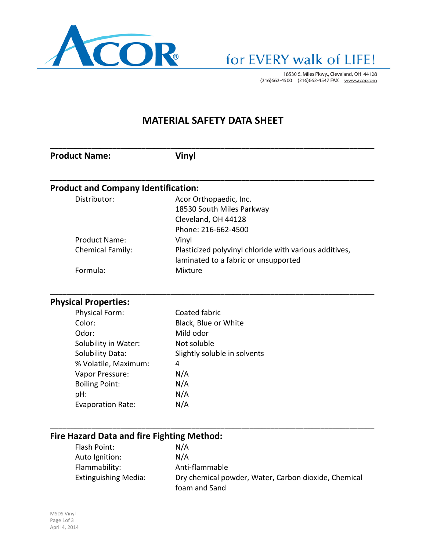

18530 S. Miles Pkwy., Cleveland, OH 44128<br>(216)662-4500 (216)662-4547 FAX www.acor.com

### **MATERIAL SAFETY DATA SHEET**

| <b>Product Name:</b>                       | <b>Vinyl</b>                                           |
|--------------------------------------------|--------------------------------------------------------|
|                                            |                                                        |
| <b>Product and Company Identification:</b> |                                                        |
| Distributor:                               | Acor Orthopaedic, Inc.                                 |
|                                            | 18530 South Miles Parkway                              |
|                                            | Cleveland, OH 44128                                    |
|                                            | Phone: 216-662-4500                                    |
| <b>Product Name:</b>                       | Vinyl                                                  |
| Chemical Family:                           | Plasticized polyvinyl chloride with various additives, |
|                                            | laminated to a fabric or unsupported                   |
| Formula:                                   | Mixture                                                |
| <b>Physical Properties:</b>                |                                                        |
| Physical Form:                             | Coated fabric                                          |
| Color:                                     | Black, Blue or White                                   |
| Odor:                                      | Mild odor                                              |
| Solubility in Water:                       | Not soluble                                            |
| <b>Solubility Data:</b>                    | Slightly soluble in solvents                           |
| % Volatile, Maximum:                       | 4                                                      |
| Vapor Pressure:                            | N/A                                                    |
| <b>Boiling Point:</b>                      | N/A                                                    |
| pH:                                        | N/A                                                    |
| <b>Evaporation Rate:</b>                   | N/A                                                    |

## **Fire Hazard Data and fire Fighting Method:**

| Flash Point:         | N/A                                                  |
|----------------------|------------------------------------------------------|
| Auto Ignition:       | N/A                                                  |
| Flammability:        | Anti-flammable                                       |
| Extinguishing Media: | Dry chemical powder, Water, Carbon dioxide, Chemical |
|                      | foam and Sand                                        |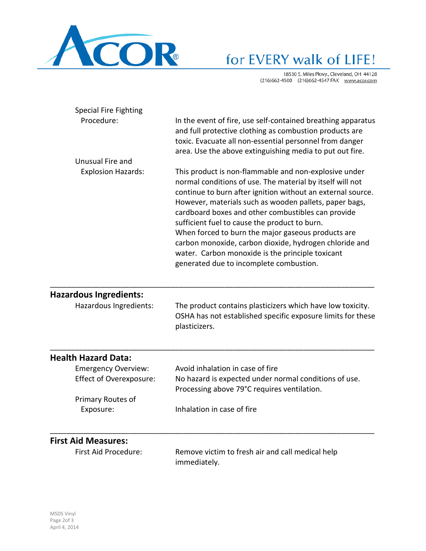

# for EVERY walk of LIFE!

18530 S. Miles Pkwy., Cleveland, OH 44128<br>(216)662-4500 (216)662-4547 FAX www.acor.com

| <b>Special Fire Fighting</b>  |                                                                                                                                                                                                                                                                                                                                                                                                                                                                                                                                                                   |
|-------------------------------|-------------------------------------------------------------------------------------------------------------------------------------------------------------------------------------------------------------------------------------------------------------------------------------------------------------------------------------------------------------------------------------------------------------------------------------------------------------------------------------------------------------------------------------------------------------------|
| Procedure:                    | In the event of fire, use self-contained breathing apparatus<br>and full protective clothing as combustion products are<br>toxic. Evacuate all non-essential personnel from danger<br>area. Use the above extinguishing media to put out fire.                                                                                                                                                                                                                                                                                                                    |
| Unusual Fire and              |                                                                                                                                                                                                                                                                                                                                                                                                                                                                                                                                                                   |
| <b>Explosion Hazards:</b>     | This product is non-flammable and non-explosive under<br>normal conditions of use. The material by itself will not<br>continue to burn after ignition without an external source.<br>However, materials such as wooden pallets, paper bags,<br>cardboard boxes and other combustibles can provide<br>sufficient fuel to cause the product to burn.<br>When forced to burn the major gaseous products are<br>carbon monoxide, carbon dioxide, hydrogen chloride and<br>water. Carbon monoxide is the principle toxicant<br>generated due to incomplete combustion. |
| <b>Hazardous Ingredients:</b> |                                                                                                                                                                                                                                                                                                                                                                                                                                                                                                                                                                   |
| Hazardous Ingredients:        | The product contains plasticizers which have low toxicity.<br>OSHA has not established specific exposure limits for these<br>plasticizers.                                                                                                                                                                                                                                                                                                                                                                                                                        |
| بمدون لهبروسها والجامعانا     |                                                                                                                                                                                                                                                                                                                                                                                                                                                                                                                                                                   |

#### **Health Hazard Data:**

| <b>Emergency Overview:</b> | Avoid inhalation in case of fire                      |
|----------------------------|-------------------------------------------------------|
| Effect of Overexposure:    | No hazard is expected under normal conditions of use. |
|                            | Processing above 79°C requires ventilation.           |
| Primary Routes of          |                                                       |
| Exposure:                  | Inhalation in case of fire                            |
|                            |                                                       |

\_\_\_\_\_\_\_\_\_\_\_\_\_\_\_\_\_\_\_\_\_\_\_\_\_\_\_\_\_\_\_\_\_\_\_\_\_\_\_\_\_\_\_\_\_\_\_\_\_\_\_\_\_\_\_\_\_\_\_\_\_\_\_\_\_\_\_\_\_\_\_\_\_\_\_\_\_\_

#### **First Aid Measures:**

First Aid Procedure: Remove victim to fresh air and call medical help immediately.